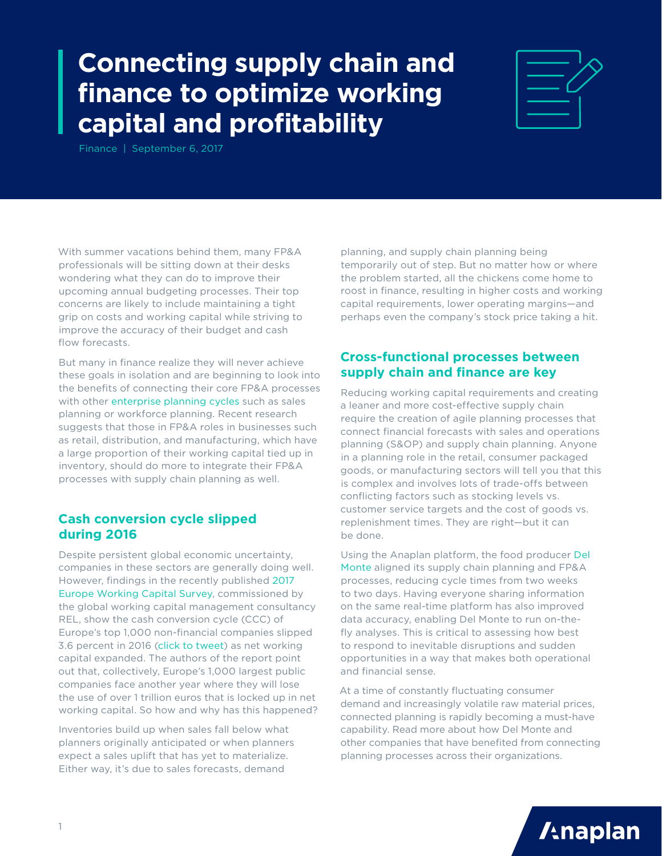## **Connecting supply chain and finance to optimize working capital and profitability**



Finance | September 6, 2017

With summer vacations behind them, many FP&A professionals will be sitting down at their desks wondering what they can do to improve their upcoming annual budgeting processes. Their top concerns are likely to include maintaining a tight grip on costs and working capital while striving to improve the accuracy of their budget and cash flow forecasts.

But many in finance realize they will never achieve these goals in isolation and are beginning to look into the benefits of connecting their core FP&A processes with other [enterprise planning cycles](https://www.anaplan.com/papers/guide-to-building-an-integrated-business-planning-capability-through-connected-planning/) such as sales planning or workforce planning. Recent research suggests that those in FP&A roles in businesses such as retail, distribution, and manufacturing, which have a large proportion of their working capital tied up in inventory, should do more to integrate their FP&A processes with supply chain planning as well.

## **Cash conversion cycle slipped during 2016**

Despite persistent global economic uncertainty, companies in these sectors are generally doing well. However, findings in the recently published [2017](http://www.relconsultancy.com/research/2017/eu-working-capital-survey-1708/)  [Europe Working Capital Survey,](http://www.relconsultancy.com/research/2017/eu-working-capital-survey-1708/) commissioned by the global working capital management consultancy REL, show the cash conversion cycle (CCC) of Europe's top 1,000 non-financial companies slipped 3.6 percent in 2016 [\(click to tweet\)](https://twitter.com/intent/tweet?text=The%20cash%20conversion%20cycle%20%28CCC%29%20of%20Europe%E2%80%99s%20top%201%2C000%20non-financial%20companies%20slipped%203.6%20percent%20in%202016.%20http%3A%2F%2Fapln.co%2Fdkr1q2&source=webclient) as net working capital expanded. The authors of the report point out that, collectively, Europe's 1,000 largest public companies face another year where they will lose the use of over 1 trillion euros that is locked up in net working capital. So how and why has this happened?

Inventories build up when sales fall below what planners originally anticipated or when planners expect a sales uplift that has yet to materialize. Either way, it's due to sales forecasts, demand

planning, and supply chain planning being temporarily out of step. But no matter how or where the problem started, all the chickens come home to roost in finance, resulting in higher costs and working capital requirements, lower operating margins—and perhaps even the company's stock price taking a hit.

## **Cross-functional processes between supply chain and finance are key**

Reducing working capital requirements and creating a leaner and more cost-effective supply chain require the creation of agile planning processes that connect financial forecasts with sales and operations planning (S&OP) and supply chain planning. Anyone in a planning role in the retail, consumer packaged goods, or manufacturing sectors will tell you that this is complex and involves lots of trade-offs between conflicting factors such as stocking levels vs. customer service targets and the cost of goods vs. replenishment times. They are right—but it can be done.

Using the Anaplan platform, the food producer [Del](https://www.anaplan.com/customers/del-monte-case-study/)  [Monte](https://www.anaplan.com/customers/del-monte-case-study/) aligned its supply chain planning and FP&A processes, reducing cycle times from two weeks to two days. Having everyone sharing information on the same real-time platform has also improved data accuracy, enabling Del Monte to run on-thefly analyses. This is critical to assessing how best to respond to inevitable disruptions and sudden opportunities in a way that makes both operational and financial sense.

At a time of constantly fluctuating consumer demand and increasingly volatile raw material prices, connected planning is rapidly becoming a must-have capability. Read more about how Del Monte and other companies that have benefited from connecting planning processes across their organizations.